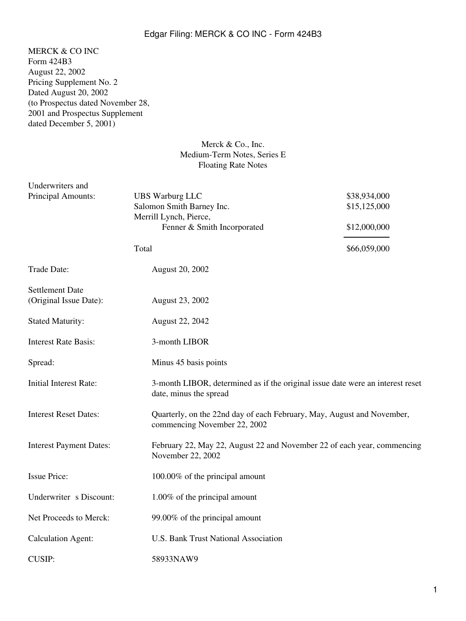## Edgar Filing: MERCK & CO INC - Form 424B3

MERCK & CO INC Form 424B3 August 22, 2002 Pricing Supplement No. 2 Dated August 20, 2002 (to Prospectus dated November 28, 2001 and Prospectus Supplement dated December 5, 2001)

## Merck & Co., Inc. Medium-Term Notes, Series E Floating Rate Notes

| Underwriters and                                 |                                                                                                              |                                                                         |  |
|--------------------------------------------------|--------------------------------------------------------------------------------------------------------------|-------------------------------------------------------------------------|--|
| Principal Amounts:                               | <b>UBS Warburg LLC</b><br>Salomon Smith Barney Inc.<br>Merrill Lynch, Pierce,<br>Fenner & Smith Incorporated | \$38,934,000<br>\$15,125,000                                            |  |
|                                                  |                                                                                                              | \$12,000,000                                                            |  |
|                                                  | Total                                                                                                        | \$66,059,000                                                            |  |
| Trade Date:                                      | <b>August 20, 2002</b>                                                                                       |                                                                         |  |
| <b>Settlement Date</b><br>(Original Issue Date): | August 23, 2002                                                                                              |                                                                         |  |
| <b>Stated Maturity:</b>                          | August 22, 2042                                                                                              |                                                                         |  |
| <b>Interest Rate Basis:</b>                      | 3-month LIBOR                                                                                                |                                                                         |  |
| Spread:                                          | Minus 45 basis points                                                                                        |                                                                         |  |
| <b>Initial Interest Rate:</b>                    | 3-month LIBOR, determined as if the original issue date were an interest reset<br>date, minus the spread     |                                                                         |  |
| <b>Interest Reset Dates:</b>                     | commencing November 22, 2002                                                                                 | Quarterly, on the 22nd day of each February, May, August and November,  |  |
| <b>Interest Payment Dates:</b>                   | November 22, 2002                                                                                            | February 22, May 22, August 22 and November 22 of each year, commencing |  |
| <b>Issue Price:</b>                              | 100.00% of the principal amount                                                                              |                                                                         |  |
| Underwriter s Discount:                          | 1.00% of the principal amount                                                                                |                                                                         |  |
| Net Proceeds to Merck:                           | 99.00% of the principal amount                                                                               |                                                                         |  |
| <b>Calculation Agent:</b>                        | <b>U.S. Bank Trust National Association</b>                                                                  |                                                                         |  |
| <b>CUSIP:</b>                                    | 58933NAW9                                                                                                    |                                                                         |  |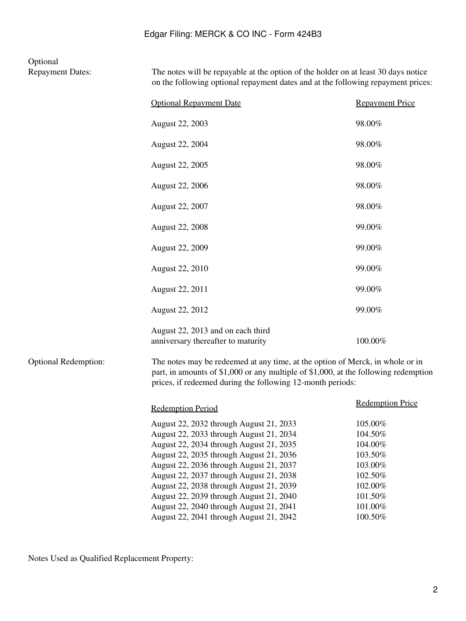## **Optional**<br>Repayment Dates:

The notes will be repayable at the option of the holder on at least 30 days notice on the following optional repayment dates and at the following repayment prices:

|                             | <b>Optional Repayment Date</b>                                                                                                                                                                                                                                                                                                                                                                                                             | <b>Repayment Price</b>                                                                                     |  |
|-----------------------------|--------------------------------------------------------------------------------------------------------------------------------------------------------------------------------------------------------------------------------------------------------------------------------------------------------------------------------------------------------------------------------------------------------------------------------------------|------------------------------------------------------------------------------------------------------------|--|
|                             | <b>August 22, 2003</b>                                                                                                                                                                                                                                                                                                                                                                                                                     | 98.00%                                                                                                     |  |
|                             | August 22, 2004                                                                                                                                                                                                                                                                                                                                                                                                                            | 98.00%                                                                                                     |  |
|                             | August 22, 2005                                                                                                                                                                                                                                                                                                                                                                                                                            | 98.00%                                                                                                     |  |
|                             | August 22, 2006                                                                                                                                                                                                                                                                                                                                                                                                                            | 98.00%                                                                                                     |  |
|                             | August 22, 2007                                                                                                                                                                                                                                                                                                                                                                                                                            | 98.00%                                                                                                     |  |
|                             | <b>August 22, 2008</b>                                                                                                                                                                                                                                                                                                                                                                                                                     | 99.00%                                                                                                     |  |
|                             | August 22, 2009                                                                                                                                                                                                                                                                                                                                                                                                                            | 99.00%                                                                                                     |  |
|                             | August 22, 2010                                                                                                                                                                                                                                                                                                                                                                                                                            | 99.00%                                                                                                     |  |
|                             | August 22, 2011                                                                                                                                                                                                                                                                                                                                                                                                                            | 99.00%                                                                                                     |  |
|                             | August 22, 2012                                                                                                                                                                                                                                                                                                                                                                                                                            | 99.00%                                                                                                     |  |
|                             | August 22, 2013 and on each third<br>anniversary thereafter to maturity                                                                                                                                                                                                                                                                                                                                                                    | 100.00%                                                                                                    |  |
| <b>Optional Redemption:</b> | The notes may be redeemed at any time, at the option of Merck, in whole or in<br>part, in amounts of \$1,000 or any multiple of \$1,000, at the following redemption<br>prices, if redeemed during the following 12-month periods:                                                                                                                                                                                                         |                                                                                                            |  |
|                             | <b>Redemption Period</b>                                                                                                                                                                                                                                                                                                                                                                                                                   | <b>Redemption Price</b>                                                                                    |  |
|                             | August 22, 2032 through August 21, 2033<br>August 22, 2033 through August 21, 2034<br>August 22, 2034 through August 21, 2035<br>August 22, 2035 through August 21, 2036<br>August 22, 2036 through August 21, 2037<br>August 22, 2037 through August 21, 2038<br>August 22, 2038 through August 21, 2039<br>August 22, 2039 through August 21, 2040<br>August 22, 2040 through August 21, 2041<br>August 22, 2041 through August 21, 2042 | 105.00%<br>104.50%<br>104.00%<br>103.50%<br>103.00%<br>102.50%<br>102.00%<br>101.50%<br>101.00%<br>100.50% |  |

Notes Used as Qualified Replacement Property: